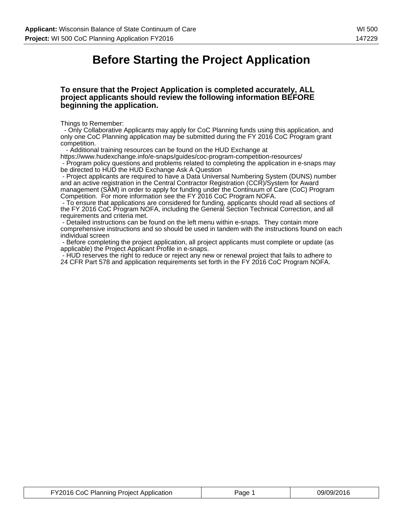### **Before Starting the Project Application**

#### **To ensure that the Project Application is completed accurately, ALL project applicants should review the following information BEFORE beginning the application.**

Things to Remember:

 - Only Collaborative Applicants may apply for CoC Planning funds using this application, and only one CoC Planning application may be submitted during the FY 2016 CoC Program grant competition.

- Additional training resources can be found on the HUD Exchange at

https://www.hudexchange.info/e-snaps/guides/coc-program-competition-resources/ - Program policy questions and problems related to completing the application in e-snaps may be directed to HUD the HUD Exchange Ask A Question

 - Project applicants are required to have a Data Universal Numbering System (DUNS) number and an active registration in the Central Contractor Registration (CCR)/System for Award management (SAM) in order to apply for funding under the Continuum of Care (CoC) Program Competition. For more information see the FY 2016 CoC Program NOFA.

 - To ensure that applications are considered for funding, applicants should read all sections of the FY 2016 CoC Program NOFA, including the General Section Technical Correction, and all requirements and criteria met.

 - Detailed instructions can be found on the left menu within e-snaps. They contain more comprehensive instructions and so should be used in tandem with the instructions found on each individual screen

 - Before completing the project application, all project applicants must complete or update (as applicable) the Project Applicant Profile in e-snaps.

 - HUD reserves the right to reduce or reject any new or renewal project that fails to adhere to 24 CFR Part 578 and application requirements set forth in the FY 2016 CoC Program NOFA.

| FY2016 CoC Planning Project Application | Page 1 | 09/09/2016 |
|-----------------------------------------|--------|------------|
|-----------------------------------------|--------|------------|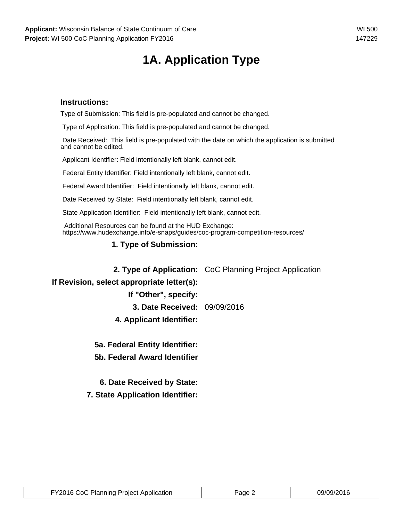# **1A. Application Type**

### **Instructions:**

Type of Submission: This field is pre-populated and cannot be changed.

Type of Application: This field is pre-populated and cannot be changed.

 Date Received: This field is pre-populated with the date on which the application is submitted and cannot be edited.

Applicant Identifier: Field intentionally left blank, cannot edit.

Federal Entity Identifier: Field intentionally left blank, cannot edit.

Federal Award Identifier: Field intentionally left blank, cannot edit.

Date Received by State: Field intentionally left blank, cannot edit.

State Application Identifier: Field intentionally left blank, cannot edit.

 Additional Resources can be found at the HUD Exchange: https://www.hudexchange.info/e-snaps/guides/coc-program-competition-resources/

### **1. Type of Submission:**

**2. Type of Application:** CoC Planning Project Application

### **If Revision, select appropriate letter(s):**

**If "Other", specify:**

**3. Date Received:** 09/09/2016

**4. Applicant Identifier:**

**5a. Federal Entity Identifier:**

**5b. Federal Award Identifier**

**6. Date Received by State:**

**7. State Application Identifier:**

| FY2016 CoC Planning Project Application | Page 2 | 09/09/2016 |
|-----------------------------------------|--------|------------|
|-----------------------------------------|--------|------------|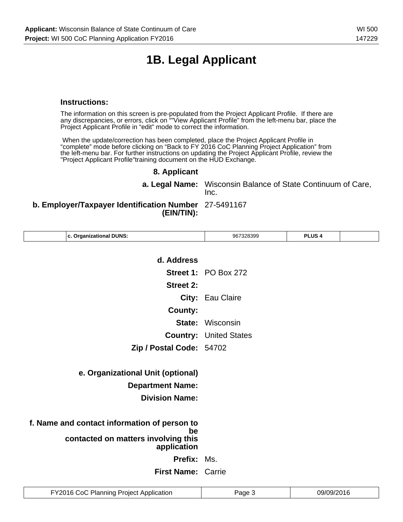# **1B. Legal Applicant**

### **Instructions:**

The information on this screen is pre-populated from the Project Applicant Profile. If there are any discrepancies, or errors, click on ""View Applicant Profile" from the left-menu bar, place the Project Applicant Profile in "edit" mode to correct the information.

 When the update/correction has been completed, place the Project Applicant Profile in "complete" mode before clicking on "Back to FY 2016 CoC Planning Project Application" from the left-menu bar. For further instructions on updating the Project Applicant Profile, review the "Project Applicant Profile"training document on the HUD Exchange.

### **8. Applicant**

**a. Legal Name:** Wisconsin Balance of State Continuum of Care, Inc.

### **b. Employer/Taxpayer Identification Number** 27-5491167 **(EIN/TIN):**

| c. Organizational DUNS:                                  | 967328399                     | PLUS <sub>4</sub> |  |
|----------------------------------------------------------|-------------------------------|-------------------|--|
|                                                          |                               |                   |  |
| d. Address                                               |                               |                   |  |
|                                                          | <b>Street 1: PO Box 272</b>   |                   |  |
| <b>Street 2:</b>                                         |                               |                   |  |
|                                                          | City: Eau Claire              |                   |  |
| <b>County:</b>                                           |                               |                   |  |
|                                                          | <b>State: Wisconsin</b>       |                   |  |
|                                                          | <b>Country: United States</b> |                   |  |
| Zip / Postal Code: 54702                                 |                               |                   |  |
|                                                          |                               |                   |  |
| e. Organizational Unit (optional)                        |                               |                   |  |
| <b>Department Name:</b>                                  |                               |                   |  |
| <b>Division Name:</b>                                    |                               |                   |  |
|                                                          |                               |                   |  |
| f. Name and contact information of person to             |                               |                   |  |
| be<br>contacted on matters involving this<br>application |                               |                   |  |
| <b>Prefix: Ms.</b>                                       |                               |                   |  |
| First Name: Carrie                                       |                               |                   |  |
|                                                          |                               |                   |  |

| FY2016 CoC Planning Project Application | Page | 09/09/2016 |
|-----------------------------------------|------|------------|
|-----------------------------------------|------|------------|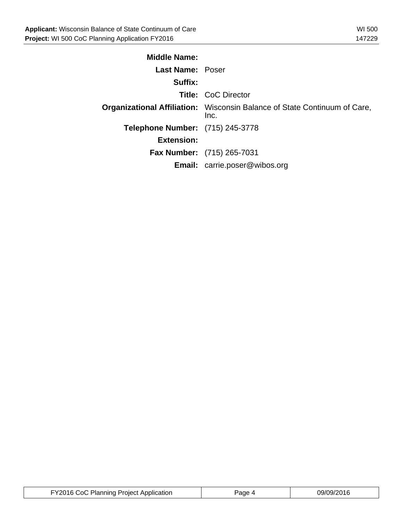| <b>Middle Name:</b>              |                                                                                          |
|----------------------------------|------------------------------------------------------------------------------------------|
| <b>Last Name: Poser</b>          |                                                                                          |
| Suffix:                          |                                                                                          |
|                                  | <b>Title: CoC Director</b>                                                               |
|                                  | <b>Organizational Affiliation:</b> Wisconsin Balance of State Continuum of Care,<br>Inc. |
| Telephone Number: (715) 245-3778 |                                                                                          |
| <b>Extension:</b>                |                                                                                          |
|                                  | <b>Fax Number:</b> (715) 265-7031                                                        |
|                                  | <b>Email:</b> carrie.poser@wibos.org                                                     |

| FY2016 CoC Planning Project Application | aqe | 09/09/2016 |
|-----------------------------------------|-----|------------|
|-----------------------------------------|-----|------------|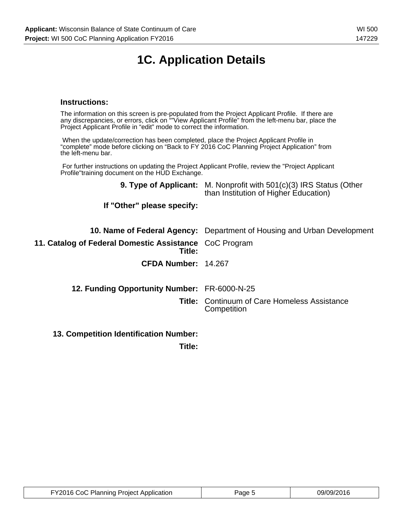# **1C. Application Details**

### **Instructions:**

The information on this screen is pre-populated from the Project Applicant Profile. If there are any discrepancies, or errors, click on ""View Applicant Profile" from the left-menu bar, place the Project Applicant Profile in "edit" mode to correct the information.

 When the update/correction has been completed, place the Project Applicant Profile in "complete" mode before clicking on "Back to FY 2016 CoC Planning Project Application" from the left-menu bar.

 For further instructions on updating the Project Applicant Profile, review the "Project Applicant Profile"training document on the HUD Exchange.

|                                                                  | <b>9. Type of Applicant:</b> M. Nonprofit with 501(c)(3) IRS Status (Other<br>than Institution of Higher Education) |
|------------------------------------------------------------------|---------------------------------------------------------------------------------------------------------------------|
| If "Other" please specify:                                       |                                                                                                                     |
|                                                                  | <b>10. Name of Federal Agency:</b> Department of Housing and Urban Development                                      |
| 11. Catalog of Federal Domestic Assistance CoC Program<br>Title: |                                                                                                                     |
| CFDA Number: 14.267                                              |                                                                                                                     |
| 12. Funding Opportunity Number: FR-6000-N-25                     |                                                                                                                     |
|                                                                  | <b>Title: Continuum of Care Homeless Assistance</b><br>Competition                                                  |
| <b>13. Competition Identification Number:</b>                    |                                                                                                                     |

**Title:**

| FY2016 CoC Planning Project Application | Page 5 | 09/09/2016 |
|-----------------------------------------|--------|------------|
|-----------------------------------------|--------|------------|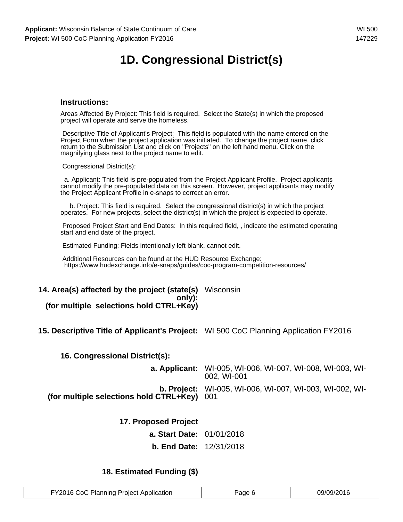# **1D. Congressional District(s)**

### **Instructions:**

Areas Affected By Project: This field is required. Select the State(s) in which the proposed project will operate and serve the homeless.

 Descriptive Title of Applicant's Project: This field is populated with the name entered on the Project Form when the project application was initiated. To change the project name, click return to the Submission List and click on "Projects" on the left hand menu. Click on the magnifying glass next to the project name to edit.

Congressional District(s):

 a. Applicant: This field is pre-populated from the Project Applicant Profile. Project applicants cannot modify the pre-populated data on this screen. However, project applicants may modify the Project Applicant Profile in e-snaps to correct an error.

 b. Project: This field is required. Select the congressional district(s) in which the project operates. For new projects, select the district(s) in which the project is expected to operate.

 Proposed Project Start and End Dates: In this required field, , indicate the estimated operating start and end date of the project.

Estimated Funding: Fields intentionally left blank, cannot edit.

 Additional Resources can be found at the HUD Resource Exchange: https://www.hudexchange.info/e-snaps/guides/coc-program-competition-resources/

#### **14. Area(s) affected by the project (state(s)** Wisconsin **only): (for multiple selections hold CTRL+Key)**

**15. Descriptive Title of Applicant's Project:** WI 500 CoC Planning Application FY2016

**16. Congressional District(s):**

**a. Applicant:** WI-005, WI-006, WI-007, WI-008, WI-003, WI-002, WI-001 **b. Project:** WI-005, WI-006, WI-007, WI-003, WI-002, WI-**(for multiple selections hold CTRL+Key)** 001

| 17. Proposed Project             |  |
|----------------------------------|--|
| <b>a. Start Date: 01/01/2018</b> |  |
| <b>b. End Date: 12/31/2018</b>   |  |

### **18. Estimated Funding (\$)**

| FY2016 CoC Planning Project Application | Page 6 | 09/09/2016 |
|-----------------------------------------|--------|------------|
|-----------------------------------------|--------|------------|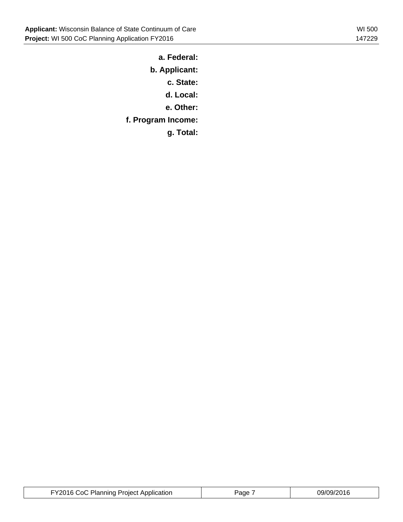**a. Federal:**

**b. Applicant:**

**c. State:**

**d. Local:**

**e. Other:**

**f. Program Income:**

**g. Total:**

| FY2016 CoC Planning Project Application | Page | 09/09/2016 |
|-----------------------------------------|------|------------|
|-----------------------------------------|------|------------|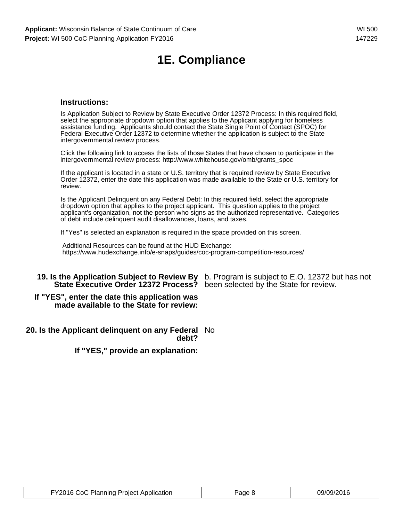# **1E. Compliance**

### **Instructions:**

Is Application Subject to Review by State Executive Order 12372 Process: In this required field, select the appropriate dropdown option that applies to the Applicant applying for homeless assistance funding. Applicants should contact the State Single Point of Contact (SPOC) for Federal Executive Order 12372 to determine whether the application is subject to the State intergovernmental review process.

Click the following link to access the lists of those States that have chosen to participate in the intergovernmental review process: http://www.whitehouse.gov/omb/grants\_spoc

If the applicant is located in a state or U.S. territory that is required review by State Executive Order 12372, enter the date this application was made available to the State or U.S. territory for review.

Is the Applicant Delinquent on any Federal Debt: In this required field, select the appropriate dropdown option that applies to the project applicant. This question applies to the project applicant's organization, not the person who signs as the authorized representative. Categories of debt include delinquent audit disallowances, loans, and taxes.

If "Yes" is selected an explanation is required in the space provided on this screen.

 Additional Resources can be found at the HUD Exchange: https://www.hudexchange.info/e-snaps/guides/coc-program-competition-resources/

### **19. Is the Application Subject to Review By** b. Program is subject to E.O. 12372 but has not **State Executive Order 12372 Process?** been selected by the State for review.

#### **If "YES", enter the date this application was made available to the State for review:**

#### **20. Is the Applicant delinquent on any Federal** No **debt?**

**If "YES," provide an explanation:**

| FY2016 CoC Planning Project Application | Page 8 | 09/09/2016 |
|-----------------------------------------|--------|------------|
|-----------------------------------------|--------|------------|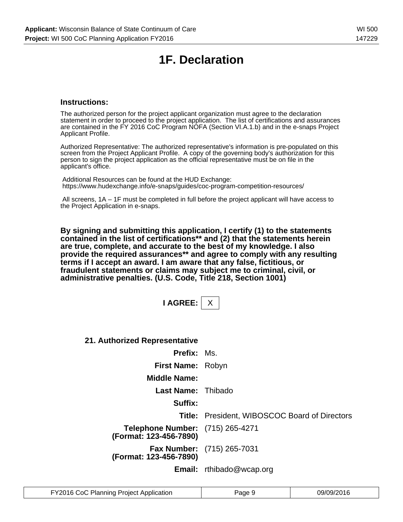# **1F. Declaration**

### **Instructions:**

The authorized person for the project applicant organization must agree to the declaration statement in order to proceed to the project application. The list of certifications and assurances are contained in the FY 2016 CoC Program NOFA (Section VI.A.1.b) and in the e-snaps Project Applicant Profile.

Authorized Representative: The authorized representative's information is pre-populated on this screen from the Project Applicant Profile. A copy of the governing body's authorization for this person to sign the project application as the official representative must be on file in the applicant's office.

 Additional Resources can be found at the HUD Exchange: https://www.hudexchange.info/e-snaps/guides/coc-program-competition-resources/

 All screens, 1A – 1F must be completed in full before the project applicant will have access to the Project Application in e-snaps.

**By signing and submitting this application, I certify (1) to the statements contained in the list of certifications\*\* and (2) that the statements herein are true, complete, and accurate to the best of my knowledge. I also provide the required assurances\*\* and agree to comply with any resulting terms if I accept an award. I am aware that any false, fictitious, or fraudulent statements or claims may subject me to criminal, civil, or administrative penalties. (U.S. Code, Title 218, Section 1001)**

| <b>AGRE</b> |  |
|-------------|--|
|-------------|--|

**21. Authorized Representative**

| <b>Prefix:</b> Ms.                                                |                                                      |
|-------------------------------------------------------------------|------------------------------------------------------|
| First Name: Robyn                                                 |                                                      |
| <b>Middle Name:</b>                                               |                                                      |
| Last Name: Thibado                                                |                                                      |
| Suffix:                                                           |                                                      |
|                                                                   | <b>Title:</b> President, WIBOSCOC Board of Directors |
| <b>Telephone Number:</b> (715) 265-4271<br>(Format: 123-456-7890) |                                                      |
| (Format: 123-456-7890)                                            | <b>Fax Number:</b> (715) 265-7031                    |
|                                                                   | <b>Email:</b> rthibado@wcap.org                      |

| FY2016 CoC Planning Project Application | Page 9 | 09/09/2016 |
|-----------------------------------------|--------|------------|
|-----------------------------------------|--------|------------|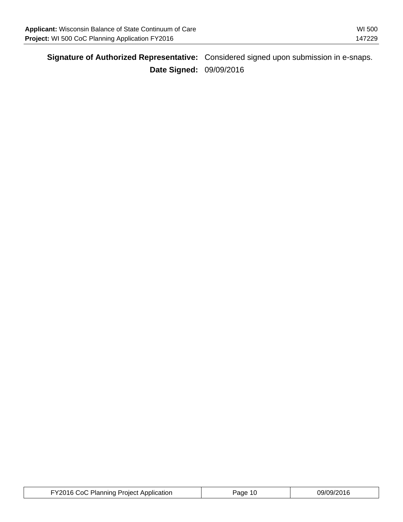| Applicant: Wisconsin Balance of State Continuum of Care | WI 500 |
|---------------------------------------------------------|--------|
| Project: WI 500 CoC Planning Application FY2016         | 147229 |

|                                | Signature of Authorized Representative: Considered signed upon submission in e-snaps. |
|--------------------------------|---------------------------------------------------------------------------------------|
| <b>Date Signed: 09/09/2016</b> |                                                                                       |

| FY2016 CoC Planning Project Application | Page 10 | 09/09/2016 |
|-----------------------------------------|---------|------------|
|-----------------------------------------|---------|------------|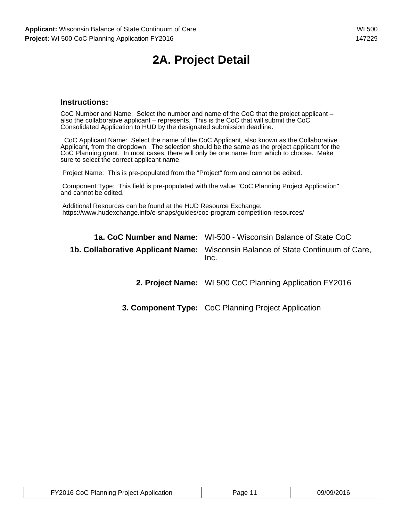# **2A. Project Detail**

### **Instructions:**

CoC Number and Name: Select the number and name of the CoC that the project applicant – also the collaborative applicant – represents. This is the CoC that will submit the CoC Consolidated Application to HUD by the designated submission deadline.

 CoC Applicant Name: Select the name of the CoC Applicant, also known as the Collaborative Applicant, from the dropdown. The selection should be the same as the project applicant for the CoC Planning grant. In most cases, there will only be one name from which to choose. Make sure to select the correct applicant name.

Project Name: This is pre-populated from the "Project" form and cannot be edited.

 Component Type: This field is pre-populated with the value "CoC Planning Project Application" and cannot be edited.

 Additional Resources can be found at the HUD Resource Exchange: https://www.hudexchange.info/e-snaps/guides/coc-program-competition-resources/

| <b>1a. CoC Number and Name:</b> WI-500 - Wisconsin Balance of State CoC                 |
|-----------------------------------------------------------------------------------------|
| 1b. Collaborative Applicant Name: Wisconsin Balance of State Continuum of Care,<br>Inc. |

**2. Project Name:** WI 500 CoC Planning Application FY2016

**3. Component Type:** CoC Planning Project Application

| FY2016 CoC Planning Project Application | Page 11 | 09/09/2016 |
|-----------------------------------------|---------|------------|
|-----------------------------------------|---------|------------|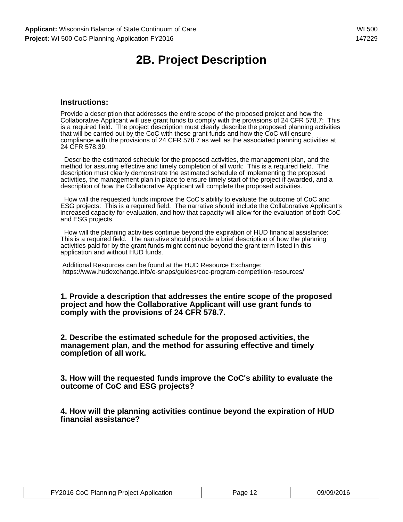# **2B. Project Description**

### **Instructions:**

Provide a description that addresses the entire scope of the proposed project and how the Collaborative Applicant will use grant funds to comply with the provisions of 24 CFR 578.7: This is a required field. The project description must clearly describe the proposed planning activities that will be carried out by the CoC with these grant funds and how the CoC will ensure compliance with the provisions of 24 CFR 578.7 as well as the associated planning activities at 24 CFR 578.39.

 Describe the estimated schedule for the proposed activities, the management plan, and the method for assuring effective and timely completion of all work: This is a required field. The description must clearly demonstrate the estimated schedule of implementing the proposed activities, the management plan in place to ensure timely start of the project if awarded, and a description of how the Collaborative Applicant will complete the proposed activities.

 How will the requested funds improve the CoC's ability to evaluate the outcome of CoC and ESG projects: This is a required field. The narrative should include the Collaborative Applicant's increased capacity for evaluation, and how that capacity will allow for the evaluation of both CoC and ESG projects.

 How will the planning activities continue beyond the expiration of HUD financial assistance: This is a required field. The narrative should provide a brief description of how the planning activities paid for by the grant funds might continue beyond the grant term listed in this application and without HUD funds.

 Additional Resources can be found at the HUD Resource Exchange: https://www.hudexchange.info/e-snaps/guides/coc-program-competition-resources/

**1. Provide a description that addresses the entire scope of the proposed project and how the Collaborative Applicant will use grant funds to comply with the provisions of 24 CFR 578.7.**

**2. Describe the estimated schedule for the proposed activities, the management plan, and the method for assuring effective and timely completion of all work.**

**3. How will the requested funds improve the CoC's ability to evaluate the outcome of CoC and ESG projects?**

**4. How will the planning activities continue beyond the expiration of HUD financial assistance?**

| FY2016 CoC Planning Project Application | Page 12 | 09/09/2016 |
|-----------------------------------------|---------|------------|
|-----------------------------------------|---------|------------|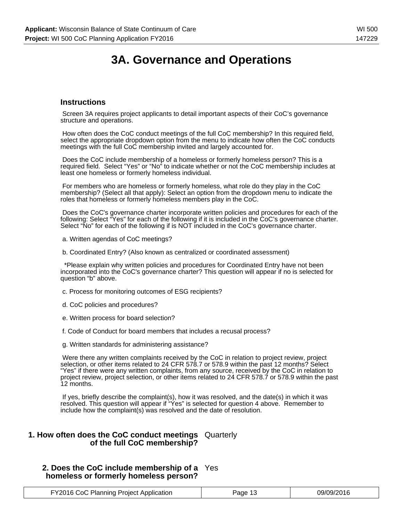### **Instructions**

 Screen 3A requires project applicants to detail important aspects of their CoC's governance structure and operations.

 How often does the CoC conduct meetings of the full CoC membership? In this required field, select the appropriate dropdown option from the menu to indicate how often the CoC conducts meetings with the full CoC membership invited and largely accounted for.

 Does the CoC include membership of a homeless or formerly homeless person? This is a required field. Select "Yes" or "No" to indicate whether or not the CoC membership includes at least one homeless or formerly homeless individual.

 For members who are homeless or formerly homeless, what role do they play in the CoC membership? (Select all that apply): Select an option from the dropdown menu to indicate the roles that homeless or formerly homeless members play in the CoC.

 Does the CoC's governance charter incorporate written policies and procedures for each of the following: Select "Yes" for each of the following if it is included in the CoC's governance charter. Select "No" for each of the following if is NOT included in the CoC's governance charter.

- a. Written agendas of CoC meetings?
- b. Coordinated Entry? (Also known as centralized or coordinated assessment)

 \*Please explain why written policies and procedures for Coordinated Entry have not been incorporated into the CoC's governance charter? This question will appear if no is selected for question "b" above.

- c. Process for monitoring outcomes of ESG recipients?
- d. CoC policies and procedures?
- e. Written process for board selection?
- f. Code of Conduct for board members that includes a recusal process?
- g. Written standards for administering assistance?

 Were there any written complaints received by the CoC in relation to project review, project selection, or other items related to 24 CFR 578.7 or 578.9 within the past 12 months? Select "Yes" if there were any written complaints, from any source, received by the CoC in relation to project review, project selection, or other items related to 24 CFR 578.7 or 578.9 within the past 12 months.

 If yes, briefly describe the complaint(s), how it was resolved, and the date(s) in which it was resolved. This question will appear if "Yes" is selected for question 4 above. Remember to include how the complaint(s) was resolved and the date of resolution.

#### **1. How often does the CoC conduct meetings** Quarterly **of the full CoC membership?**

### **2. Does the CoC include membership of a** Yes **homeless or formerly homeless person?**

| FY2016 CoC Planning Project Application | Page 13<br>. . | 09/09/2016 |
|-----------------------------------------|----------------|------------|
|-----------------------------------------|----------------|------------|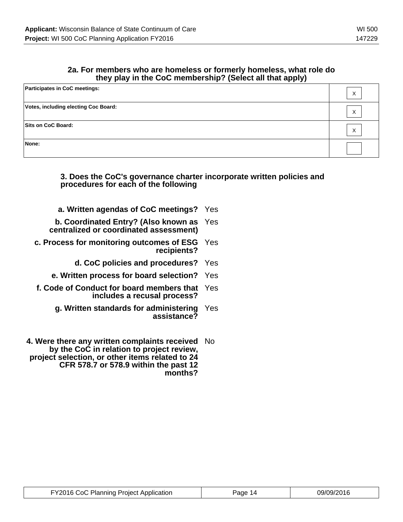### **2a. For members who are homeless or formerly homeless, what role do they play in the CoC membership? (Select all that apply)**

| <b>Participates in CoC meetings:</b> | $\checkmark$<br>v |
|--------------------------------------|-------------------|
| Votes, including electing Coc Board: | $\checkmark$<br>ᄉ |
| Sits on CoC Board:                   | $\checkmark$<br>ᄉ |
| None:                                |                   |

### **3. Does the CoC's governance charter incorporate written policies and procedures for each of the following**

- **a. Written agendas of CoC meetings?** Yes
- **b. Coordinated Entry? (Also known as centralized or coordinated assessment)** Yes
- **c. Process for monitoring outcomes of ESG** Yes **recipients?**
	- **d. CoC policies and procedures?** Yes
	- **e. Written process for board selection?** Yes
- **f. Code of Conduct for board members that** Yes **includes a recusal process?**
	- **g. Written standards for administering** Yes **assistance?**
- **4. Were there any written complaints received** No **by the CoC in relation to project review, project selection, or other items related to 24 CFR 578.7 or 578.9 within the past 12 months?**

| FY2016 CoC Planning Project Application | Page 14 | 09/09/2016 |
|-----------------------------------------|---------|------------|
|-----------------------------------------|---------|------------|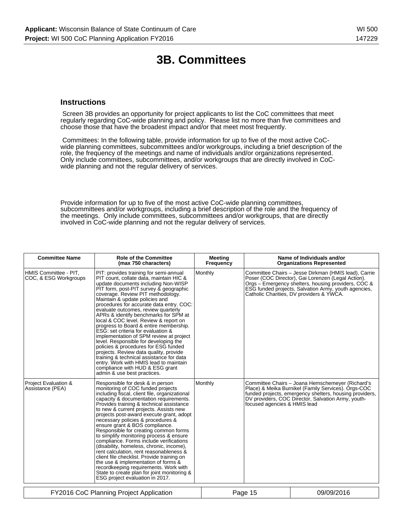### **3B. Committees**

### **Instructions**

 Screen 3B provides an opportunity for project applicants to list the CoC committees that meet regularly regarding CoC-wide planning and policy. Please list no more than five committees and choose those that have the broadest impact and/or that meet most frequently.

 Committees: In the following table, provide information for up to five of the most active CoCwide planning committees, subcommittees and/or workgroups, including a brief description of the role, the frequency of the meetings and name of individuals and/or organizations represented. Only include committees, subcommittees, and/or workgroups that are directly involved in CoCwide planning and not the regular delivery of services.

Provide information for up to five of the most active CoC-wide planning committees, subcommittees and/or workgroups, including a brief description of the role and the frequency of the meetings. Only include committees, subcommittees and/or workgroups, that are directly involved in CoC-wide planning and not the regular delivery of services.

| <b>Committee Name</b>                          | <b>Role of the Committee</b><br>(max 750 characters)                                                                                                                                                                                                                                                                                                                                                                                                                                                                                                                                                                                                                                                                                                                                                                         | <b>Meeting</b><br>Frequency |                              | Name of Individuals and/or<br><b>Organizations Represented</b>                                                                                                                                                                                                        |
|------------------------------------------------|------------------------------------------------------------------------------------------------------------------------------------------------------------------------------------------------------------------------------------------------------------------------------------------------------------------------------------------------------------------------------------------------------------------------------------------------------------------------------------------------------------------------------------------------------------------------------------------------------------------------------------------------------------------------------------------------------------------------------------------------------------------------------------------------------------------------------|-----------------------------|------------------------------|-----------------------------------------------------------------------------------------------------------------------------------------------------------------------------------------------------------------------------------------------------------------------|
| HMIS Committee - PIT,<br>COC, & ESG Workgroups | PIT: provides training for semi-annual<br>PIT count, collate data, maintain HIC &<br>update documents including Non-WISP<br>PIT form, post-PIT survey & geographic<br>coverage. Review PIT methodology.<br>Maintain & update policies and<br>procedures for accurate data entry. COC:<br>evaluate outcomes, review quarterly<br>APRs & identify benchmarks for SPM at<br>local & COC level. Review & report on<br>progress to Board & entire membership.<br>ESG: set criteria for evaluation &<br>implementation of SPM review at project<br>level. Responsible for developing the<br>policies & procedures for ESG funded<br>projects. Review data quality, provide<br>training & technical assistance for data<br>entry. Work with HMIS lead to maintain<br>compliance with HUD & ESG grant<br>admin & use best practices. | Monthly                     |                              | Committee Chairs - Jesse Dirkman (HMIS lead), Carrie<br>Poser (COC Director), Gai Lorenzen (Legal Action).<br>Orgs - Emergency shelters, housing providers, COC &<br>ESG funded projects, Salvation Army, youth agencies,<br>Catholic Charities, DV providers & YWCA. |
| Project Evaluation &<br>Assistance (PEA)       | Responsible for desk & in person<br>monitoring of COC funded projects<br>including fiscal, client file, organizational<br>capacity & documentation requirements.<br>Provides training & technical assistance<br>to new & current projects. Assists new<br>projects post-award execute grant, adopt<br>necessary policies & procedures &<br>ensure grant & BOS compliance.<br>Responsible for creating common forms<br>to simplify monitoring process & ensure<br>compliance. Forms include verifications<br>(disability, homeless, chronic, income),<br>rent calculation, rent reasonableness &<br>client file checklist. Provide training on<br>the use & implementation of forms &<br>recordkeeping requirements. Work with<br>State to create plan for joint monitoring &<br>ESG project evaluation in 2017.              | Monthly                     | focused agencies & HMIS lead | Committee Chairs - Joana Hemschemeyer (Richard's<br>Place) & Meika Burnikel (Family Services). Orgs-COC<br>funded projects, emergency shelters, housing providers,<br>DV providers, COC Director, Salvation Army, youth-                                              |
|                                                | FY2016 CoC Planning Project Application                                                                                                                                                                                                                                                                                                                                                                                                                                                                                                                                                                                                                                                                                                                                                                                      |                             | Page 15                      | 09/09/2016                                                                                                                                                                                                                                                            |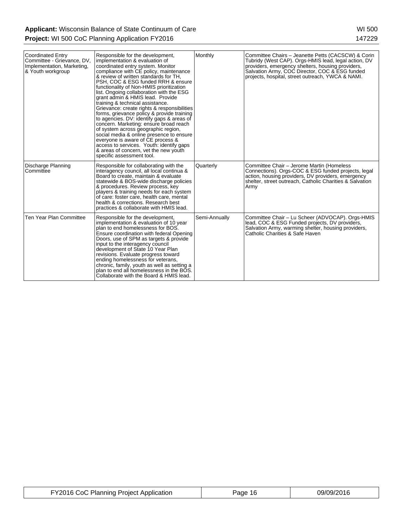| <b>Coordinated Entry</b><br>Committee - Grievance, DV,<br>Implementation, Marketing,<br>& Youth workgroup | Responsible for the development,<br>implementation & evaluation of<br>coordinated entry system. Monitor<br>compliance with CE policy, maintenance<br>& review of written standards for TH.<br>PSH, COC & ESG funded RRH & ensure<br>functionality of Non-HMIS prioritization<br>list. Ongoing collaboration with the ESG<br>grant admin & HMIS lead. Provide<br>training & technical assistance.<br>Grievance: create rights & responsibilities<br>forms, grievance policy & provide training<br>to agencies. DV: identify gaps & areas of<br>concern. Marketing: ensure broad reach<br>of system across geographic region,<br>social media & online presence to ensure<br>everyone is aware of CE process &<br>access to services. Youth: identify gaps<br>& areas of concern, yet the new youth<br>specific assessment tool. | Monthly       | Committee Chairs - Jeanette Petts (CACSCW) & Corin<br>Tubridy (West CAP). Orgs-HMIS lead, legal action, DV<br>providers, emergency shelters, housing providers,<br>Salvation Army, COC Director, COC & ESG funded<br>projects, hospital, street outreach, YWCA & NAMI. |
|-----------------------------------------------------------------------------------------------------------|--------------------------------------------------------------------------------------------------------------------------------------------------------------------------------------------------------------------------------------------------------------------------------------------------------------------------------------------------------------------------------------------------------------------------------------------------------------------------------------------------------------------------------------------------------------------------------------------------------------------------------------------------------------------------------------------------------------------------------------------------------------------------------------------------------------------------------|---------------|------------------------------------------------------------------------------------------------------------------------------------------------------------------------------------------------------------------------------------------------------------------------|
| Discharge Planning<br>Committee                                                                           | Responsible for collaborating with the<br>interagency council, all local continua &<br>Board to create, maintain & evaluate<br>statewide & BOS-wide discharge policies<br>& procedures. Review process, key<br>players & training needs for each system<br>of care: foster care, health care, mental<br>health & corrections. Research best<br>practices & collaborate with HMIS lead.                                                                                                                                                                                                                                                                                                                                                                                                                                         | Quarterly     | Committee Chair - Jerome Martin (Homeless<br>Connections). Orgs-COC & ESG funded projects, legal<br>action, housing providers, DV providers, emergency<br>shelter, street outreach, Catholic Charities & Salvation<br>Armv                                             |
| Ten Year Plan Committee                                                                                   | Responsible for the development,<br>implementation & evaluation of 10 year<br>plan to end homelessness for BOS.<br>Ensure coordination with federal Opening<br>Doors, use of SPM as targets & provide<br>input to the interagency council<br>development of State 10 Year Plan<br>revisions. Evaluate progress toward<br>ending homelessness for veterans,<br>chronic, family, youth as well as setting a<br>plan to end all homelessness in the BOS.<br>Collaborate with the Board & HMIS lead.                                                                                                                                                                                                                                                                                                                               | Semi-Annually | Committee Chair - Lu Scheer (ADVOCAP). Orgs-HMIS<br>lead, COC & ESG Funded projects, DV providers,<br>Salvation Army, warming shelter, housing providers,<br>Catholic Charities & Safe Haven                                                                           |

| FY2016 CoC Planning Project Application | Page 16 | 09/09/2016 |
|-----------------------------------------|---------|------------|
|-----------------------------------------|---------|------------|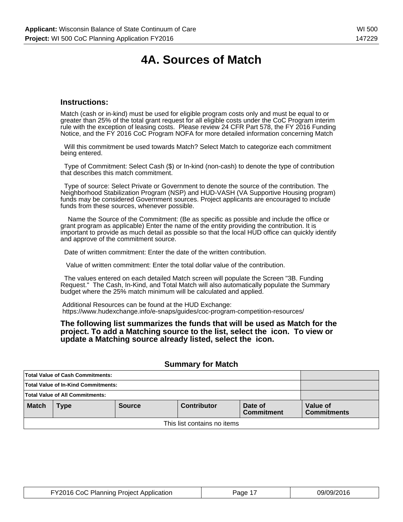# **4A. Sources of Match**

### **Instructions:**

Match (cash or in-kind) must be used for eligible program costs only and must be equal to or greater than 25% of the total grant request for all eligible costs under the CoC Program interim rule with the exception of leasing costs. Please review 24 CFR Part 578, the FY 2016 Funding Notice, and the FY 2016 CoC Program NOFA for more detailed information concerning Match

 Will this commitment be used towards Match? Select Match to categorize each commitment being entered.

 Type of Commitment: Select Cash (\$) or In-kind (non-cash) to denote the type of contribution that describes this match commitment.

 Type of source: Select Private or Government to denote the source of the contribution. The Neighborhood Stabilization Program (NSP) and HUD-VASH (VA Supportive Housing program) funds may be considered Government sources. Project applicants are encouraged to include funds from these sources, whenever possible.

 Name the Source of the Commitment: (Be as specific as possible and include the office or grant program as applicable) Enter the name of the entity providing the contribution. It is important to provide as much detail as possible so that the local HUD office can quickly identify and approve of the commitment source.

Date of written commitment: Enter the date of the written contribution.

Value of written commitment: Enter the total dollar value of the contribution.

 The values entered on each detailed Match screen will populate the Screen "3B. Funding Request." The Cash, In-Kind, and Total Match will also automatically populate the Summary budget where the 25% match minimum will be calculated and applied.

 Additional Resources can be found at the HUD Exchange: https://www.hudexchange.info/e-snaps/guides/coc-program-competition-resources/

#### **The following list summarizes the funds that will be used as Match for the project. To add a Matching source to the list, select the icon. To view or update a Matching source already listed, select the icon.**

|                                     | Total Value of Cash Commitments:                                                   |  |  |  |                                |
|-------------------------------------|------------------------------------------------------------------------------------|--|--|--|--------------------------------|
| Total Value of In-Kind Commitments: |                                                                                    |  |  |  |                                |
|                                     | Total Value of All Commitments:                                                    |  |  |  |                                |
| <b>Match</b>                        | <b>Contributor</b><br>Date of<br><b>Source</b><br><b>Type</b><br><b>Commitment</b> |  |  |  | Value of<br><b>Commitments</b> |
| This list contains no items         |                                                                                    |  |  |  |                                |

#### **Summary for Match**

| FY2016 CoC Planning Project Application | Page 1 | 09/09/2016 |
|-----------------------------------------|--------|------------|
|-----------------------------------------|--------|------------|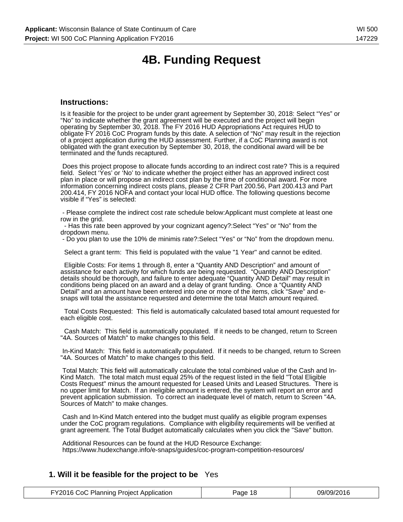# **4B. Funding Request**

### **Instructions:**

Is it feasible for the project to be under grant agreement by September 30, 2018: Select "Yes" or "No" to indicate whether the grant agreement will be executed and the project will begin operating by September 30, 2018. The FY 2016 HUD Appropriations Act requires HUD to obligate FY 2016 CoC Program funds by this date. A selection of "No" may result in the rejection of a project application during the HUD assessment. Further, if a CoC Planning award is not obligated with the grant execution by September 30, 2018, the conditional award will be be terminated and the funds recaptured.

 Does this project propose to allocate funds according to an indirect cost rate? This is a required field. Select 'Yes' or 'No' to indicate whether the project either has an approved indirect cost plan in place or will propose an indirect cost plan by the time of conditional award. For more information concerning indirect costs plans, please 2 CFR Part 200.56, Part 200.413 and Part 200.414, FY 2016 NOFA and contact your local HUD office. The following questions become visible if "Yes" is selected:

 - Please complete the indirect cost rate schedule below:Applicant must complete at least one row in the grid.

 - Has this rate been approved by your cognizant agency?:Select "Yes" or "No" from the dropdown menu.

- Do you plan to use the 10% de minimis rate?:Select "Yes" or "No" from the dropdown menu.

Select a grant term: This field is populated with the value "1 Year" and cannot be edited.

 Eligible Costs: For items 1 through 8, enter a "Quantity AND Description" and amount of assistance for each activity for which funds are being requested. "Quantity AND Description" details should be thorough, and failure to enter adequate "Quantity AND Detail" may result in conditions being placed on an award and a delay of grant funding. Once a "Quantity AND Detail" and an amount have been entered into one or more of the items, click "Save" and esnaps will total the assistance requested and determine the total Match amount required.

 Total Costs Requested: This field is automatically calculated based total amount requested for each eligible cost.

 Cash Match: This field is automatically populated. If it needs to be changed, return to Screen "4A. Sources of Match" to make changes to this field.

 In-Kind Match: This field is automatically populated. If it needs to be changed, return to Screen "4A. Sources of Match" to make changes to this field.

 Total Match: This field will automatically calculate the total combined value of the Cash and In-Kind Match. The total match must equal 25% of the request listed in the field "Total Eligible Costs Request" minus the amount requested for Leased Units and Leased Structures. There is no upper limit for Match. If an ineligible amount is entered, the system will report an error and prevent application submission. To correct an inadequate level of match, return to Screen "4A. Sources of Match" to make changes.

 Cash and In-Kind Match entered into the budget must qualify as eligible program expenses under the CoC program regulations. Compliance with eligibility requirements will be verified at grant agreement. The Total Budget automatically calculates when you click the "Save" button.

 Additional Resources can be found at the HUD Resource Exchange: https://www.hudexchange.info/e-snaps/guides/coc-program-competition-resources/

### **1. Will it be feasible for the project to be** Yes

| FY2016 CoC Planning Project Application | Page 18 | 09/09/2016 |
|-----------------------------------------|---------|------------|
|-----------------------------------------|---------|------------|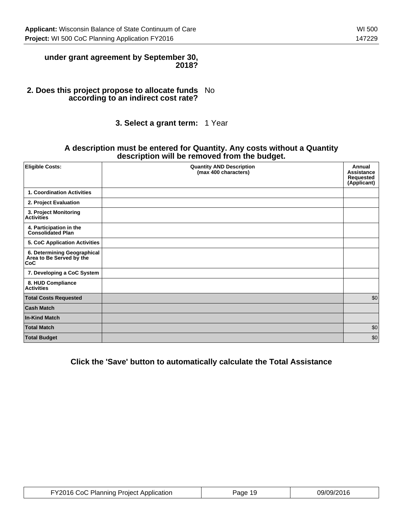### **under grant agreement by September 30, 2018?**

#### **2. Does this project propose to allocate funds according to an indirect cost rate?** No

### **3. Select a grant term:** 1 Year

### **A description must be entered for Quantity. Any costs without a Quantity description will be removed from the budget.**

| <b>Eligible Costs:</b>                                         | <b>Quantity AND Description</b><br>(max 400 characters) | Annual<br><b>Assistance</b><br>Requested<br>(Applicant) |
|----------------------------------------------------------------|---------------------------------------------------------|---------------------------------------------------------|
| 1. Coordination Activities                                     |                                                         |                                                         |
| 2. Project Evaluation                                          |                                                         |                                                         |
| 3. Project Monitoring<br><b>Activities</b>                     |                                                         |                                                         |
| 4. Participation in the<br><b>Consolidated Plan</b>            |                                                         |                                                         |
| 5. CoC Application Activities                                  |                                                         |                                                         |
| 6. Determining Geographical<br>Area to Be Served by the<br>CoC |                                                         |                                                         |
| 7. Developing a CoC System                                     |                                                         |                                                         |
| 8. HUD Compliance<br><b>Activities</b>                         |                                                         |                                                         |
| <b>Total Costs Requested</b>                                   |                                                         | \$0                                                     |
| <b>Cash Match</b>                                              |                                                         |                                                         |
| <b>In-Kind Match</b>                                           |                                                         |                                                         |
| <b>Total Match</b>                                             |                                                         | \$0                                                     |
| <b>Total Budget</b>                                            |                                                         | \$0                                                     |

### **Click the 'Save' button to automatically calculate the Total Assistance**

| FY2016 CoC Planning Project Application | Page 19 | 09/09/2016 |
|-----------------------------------------|---------|------------|
|-----------------------------------------|---------|------------|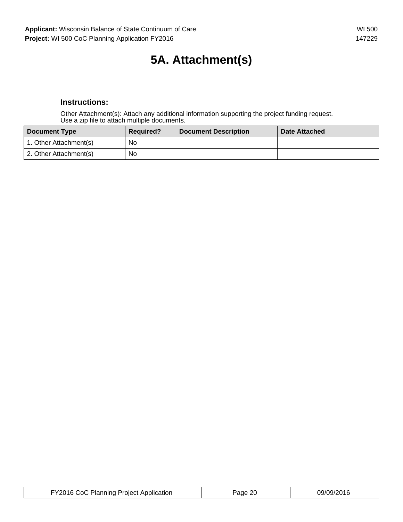# **5A. Attachment(s)**

### **Instructions:**

Other Attachment(s): Attach any additional information supporting the project funding request. Use a zip file to attach multiple documents.

| <b>Document Type</b>   | <b>Required?</b> | <b>Document Description</b> | <b>Date Attached</b> |
|------------------------|------------------|-----------------------------|----------------------|
| 1. Other Attachment(s) | No               |                             |                      |
| 2. Other Attachment(s) | No               |                             |                      |

| FY2016 CoC Planning Project Application | Page 20 | 09/09/2016 |
|-----------------------------------------|---------|------------|
|-----------------------------------------|---------|------------|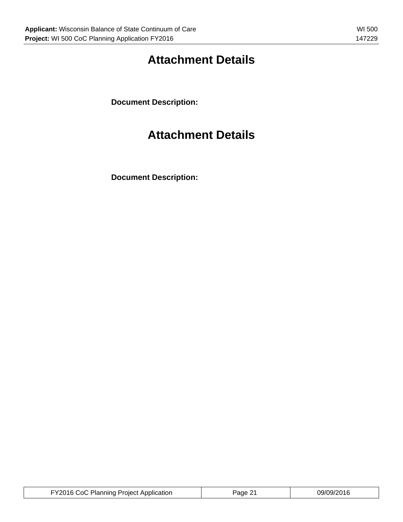# **Attachment Details**

**Document Description:**

# **Attachment Details**

**Document Description:**

| FY2016 CoC Planning Project Application | Page 21 | 09/09/2016 |
|-----------------------------------------|---------|------------|
|-----------------------------------------|---------|------------|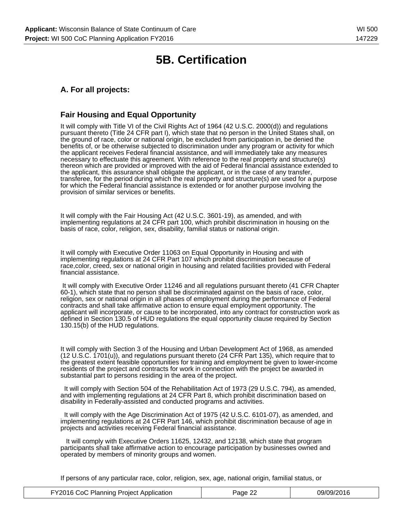## **5B. Certification**

### **A. For all projects:**

### **Fair Housing and Equal Opportunity**

It will comply with Title VI of the Civil Rights Act of 1964 (42 U.S.C. 2000(d)) and regulations pursuant thereto (Title 24 CFR part I), which state that no person in the United States shall, on the ground of race, color or national origin, be excluded from participation in, be denied the benefits of, or be otherwise subjected to discrimination under any program or activity for which the applicant receives Federal financial assistance, and will immediately take any measures necessary to effectuate this agreement. With reference to the real property and structure(s) thereon which are provided or improved with the aid of Federal financial assistance extended to the applicant, this assurance shall obligate the applicant, or in the case of any transfer, transferee, for the period during which the real property and structure(s) are used for a purpose for which the Federal financial assistance is extended or for another purpose involving the provision of similar services or benefits.

It will comply with the Fair Housing Act (42 U.S.C. 3601-19), as amended, and with implementing regulations at 24 CFR part 100, which prohibit discrimination in housing on the basis of race, color, religion, sex, disability, familial status or national origin.

It will comply with Executive Order 11063 on Equal Opportunity in Housing and with implementing regulations at 24 CFR Part 107 which prohibit discrimination because of race,color, creed, sex or national origin in housing and related facilities provided with Federal financial assistance.

 It will comply with Executive Order 11246 and all regulations pursuant thereto (41 CFR Chapter 60-1), which state that no person shall be discriminated against on the basis of race, color, religion, sex or national origin in all phases of employment during the performance of Federal contracts and shall take affirmative action to ensure equal employment opportunity. The applicant will incorporate, or cause to be incorporated, into any contract for construction work as defined in Section 130.5 of HUD regulations the equal opportunity clause required by Section 130.15(b) of the HUD regulations.

It will comply with Section 3 of the Housing and Urban Development Act of 1968, as amended (12 U.S.C. 1701(u)), and regulations pursuant thereto (24 CFR Part 135), which require that to the greatest extent feasible opportunities for training and employment be given to lower-income residents of the project and contracts for work in connection with the project be awarded in substantial part to persons residing in the area of the project.

 It will comply with Section 504 of the Rehabilitation Act of 1973 (29 U.S.C. 794), as amended, and with implementing regulations at 24 CFR Part 8, which prohibit discrimination based on disability in Federally-assisted and conducted programs and activities.

 It will comply with the Age Discrimination Act of 1975 (42 U.S.C. 6101-07), as amended, and implementing regulations at 24 CFR Part 146, which prohibit discrimination because of age in projects and activities receiving Federal financial assistance.

 It will comply with Executive Orders 11625, 12432, and 12138, which state that program participants shall take affirmative action to encourage participation by businesses owned and operated by members of minority groups and women.

If persons of any particular race, color, religion, sex, age, national origin, familial status, or

| FY2016 CoC Planning Project Application | Page 22 | 09/09/2016 |
|-----------------------------------------|---------|------------|
|-----------------------------------------|---------|------------|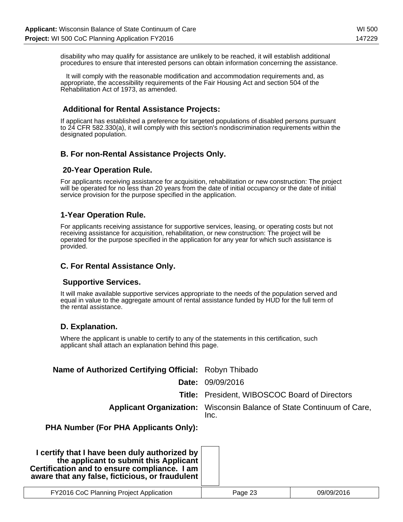disability who may qualify for assistance are unlikely to be reached, it will establish additional procedures to ensure that interested persons can obtain information concerning the assistance.

 It will comply with the reasonable modification and accommodation requirements and, as appropriate, the accessibility requirements of the Fair Housing Act and section 504 of the Rehabilitation Act of 1973, as amended.

### **Additional for Rental Assistance Projects:**

If applicant has established a preference for targeted populations of disabled persons pursuant to 24 CFR 582.330(a), it will comply with this section's nondiscrimination requirements within the designated population.

### **B. For non-Rental Assistance Projects Only.**

### **20-Year Operation Rule.**

For applicants receiving assistance for acquisition, rehabilitation or new construction: The project will be operated for no less than 20 years from the date of initial occupancy or the date of initial service provision for the purpose specified in the application.

### **1-Year Operation Rule.**

For applicants receiving assistance for supportive services, leasing, or operating costs but not receiving assistance for acquisition, rehabilitation, or new construction: The project will be operated for the purpose specified in the application for any year for which such assistance is provided.

### **C. For Rental Assistance Only.**

### **Supportive Services.**

It will make available supportive services appropriate to the needs of the population served and equal in value to the aggregate amount of rental assistance funded by HUD for the full term of the rental assistance.

### **D. Explanation.**

Where the applicant is unable to certify to any of the statements in this certification, such applicant shall attach an explanation behind this page.

| Name of Authorized Certifying Official: Robyn Thibado                                                                                                                                      |                                                                                      |            |  |
|--------------------------------------------------------------------------------------------------------------------------------------------------------------------------------------------|--------------------------------------------------------------------------------------|------------|--|
| Date:                                                                                                                                                                                      | 09/09/2016                                                                           |            |  |
|                                                                                                                                                                                            | <b>Title:</b> President, WIBOSCOC Board of Directors                                 |            |  |
|                                                                                                                                                                                            | <b>Applicant Organization:</b> Wisconsin Balance of State Continuum of Care,<br>Inc. |            |  |
| <b>PHA Number (For PHA Applicants Only):</b>                                                                                                                                               |                                                                                      |            |  |
| I certify that I have been duly authorized by<br>the applicant to submit this Applicant<br>Certification and to ensure compliance. I am<br>aware that any false, ficticious, or fraudulent |                                                                                      |            |  |
| FY2016 CoC Planning Project Application                                                                                                                                                    | Page 23                                                                              | 09/09/2016 |  |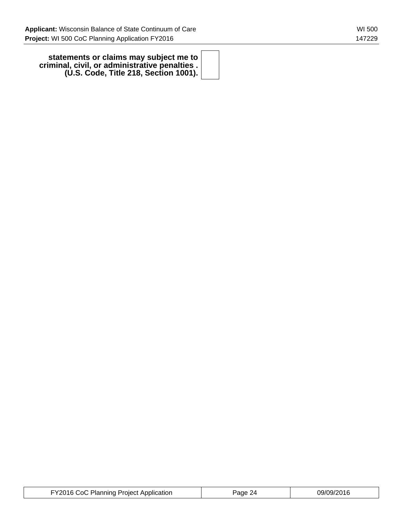**statements or claims may subject me to criminal, civil, or administrative penalties . (U.S. Code, Title 218, Section 1001).**

| FY2016 CoC Planning Project Application | Page 24 | 09/09/2016 |
|-----------------------------------------|---------|------------|
|-----------------------------------------|---------|------------|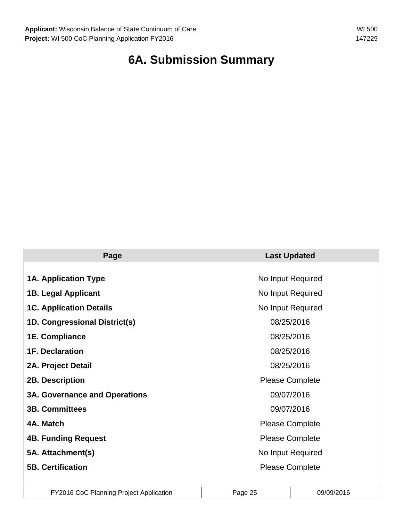# **6A. Submission Summary**

| Page                                 | <b>Last Updated</b>    |  |  |
|--------------------------------------|------------------------|--|--|
|                                      |                        |  |  |
| <b>1A. Application Type</b>          | No Input Required      |  |  |
| <b>1B. Legal Applicant</b>           | No Input Required      |  |  |
| <b>1C. Application Details</b>       | No Input Required      |  |  |
| 1D. Congressional District(s)        | 08/25/2016             |  |  |
| 1E. Compliance                       | 08/25/2016             |  |  |
| <b>1F. Declaration</b>               | 08/25/2016             |  |  |
| 2A. Project Detail                   | 08/25/2016             |  |  |
| <b>2B. Description</b>               | <b>Please Complete</b> |  |  |
| <b>3A. Governance and Operations</b> | 09/07/2016             |  |  |
| <b>3B. Committees</b>                | 09/07/2016             |  |  |
| 4A. Match                            | <b>Please Complete</b> |  |  |
| <b>4B. Funding Request</b>           | <b>Please Complete</b> |  |  |
| 5A. Attachment(s)                    | No Input Required      |  |  |
| <b>5B. Certification</b>             | <b>Please Complete</b> |  |  |
|                                      |                        |  |  |

| FY2016 CoC Planning Project Application | Page 25 | 09/09/2016 |
|-----------------------------------------|---------|------------|
|-----------------------------------------|---------|------------|